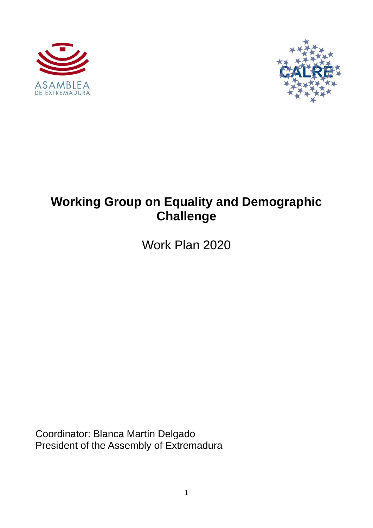



# **Working Group on Equality and Demographic Challenge**

Work Plan 2020

Coordinator: Blanca Martín Delgado President of the Assembly of Extremadura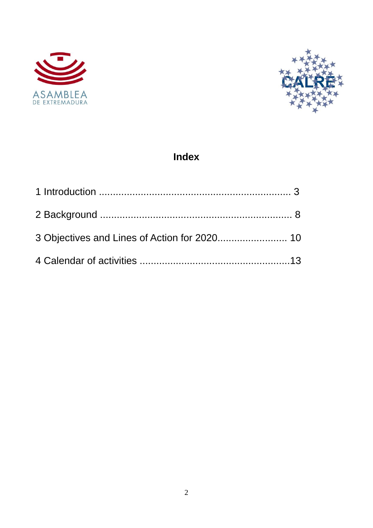



## Index

| 3 Objectives and Lines of Action for 2020 10 |  |
|----------------------------------------------|--|
|                                              |  |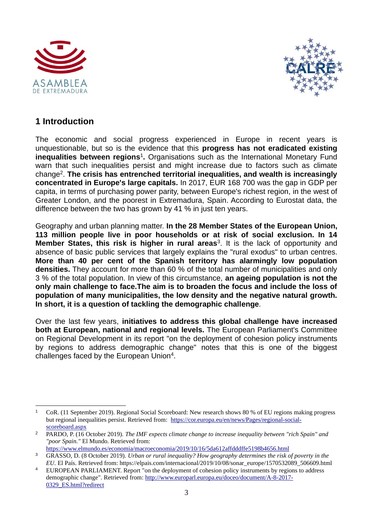



#### **1 Introduction**

The economic and social progress experienced in Europe in recent years is unquestionable, but so is the evidence that this **progress has not eradicated existing**  inequalities between regions<sup>1</sup>. Organisations such as the International Monetary Fund warn that such inequalities persist and might increase due to factors such as climate change<sup>2</sup> . **The crisis has entrenched territorial inequalities, and wealth is increasingly concentrated in Europe's large capitals.** In 2017, EUR 168 700 was the gap in GDP per capita, in terms of purchasing power parity, between Europe's richest region, in the west of Greater London, and the poorest in Extremadura, Spain. According to Eurostat data, the difference between the two has grown by 41 % in just ten years.

Geography and urban planning matter. **In the 28 Member States of the European Union, 113 million people live in poor households or at risk of social exclusion. In 14 Member States, this risk is higher in rural areas**<sup>3</sup>. It is the lack of opportunity and absence of basic public services that largely explains the "rural exodus" to urban centres. **More than 40 per cent of the Spanish territory has alarmingly low population densities.** They account for more than 60 % of the total number of municipalities and only 3 % of the total population. In view of this circumstance, **an ageing population is not the only main challenge to face.The aim is to broaden the focus and include the loss of population of many municipalities, the low density and the negative natural growth. In short, it is a question of tackling the demographic challenge**.

Over the last few years, **initiatives to address this global challenge have increased both at European, national and regional levels.** The European Parliament's Committee on Regional Development in its report "on the deployment of cohesion policy instruments by regions to address demographic change" notes that this is one of the biggest challenges faced by the European Union<sup>4</sup>.

<sup>1</sup> CoR. (11 September 2019). Regional Social Scoreboard: New research shows 80 % of EU regions making progress but regional inequalities persist. Retrieved from: [https://cor.europa.eu/en/news/Pages/regional-social](https://cor.europa.eu/en/news/Pages/regional-social-scoreboard.aspx)[scoreboard.aspx](https://cor.europa.eu/en/news/Pages/regional-social-scoreboard.aspx)

<sup>2</sup> PARDO, P. (16 October 2019). *The IMF expects climate change to increase inequality between "rich Spain" and "poor Spain."* El Mundo. Retrieved from:

<https://www.elmundo.es/economia/macroeconomia/2019/10/16/5da612affdddffe5198b4656.html>

<sup>3</sup> GRASSO, D. (8 October 2019). *Urban or rural inequality? How geography determines the risk of poverty in the EU.* El País. Retrieved from: https://elpais.com/internacional/2019/10/08/sonar\_europe/1570532089\_506609.html

<sup>4</sup> EUROPEAN PARLIAMENT. Report "on the deployment of cohesion policy instruments by regions to address demographic change". Retrieved from: [http://www.europarl.europa.eu/doceo/document/A-8-2017-](http://www.europarl.europa.eu/doceo/document/A-8-2017-0329_ES.html?redirect) [0329\\_ES.html?redirect](http://www.europarl.europa.eu/doceo/document/A-8-2017-0329_ES.html?redirect)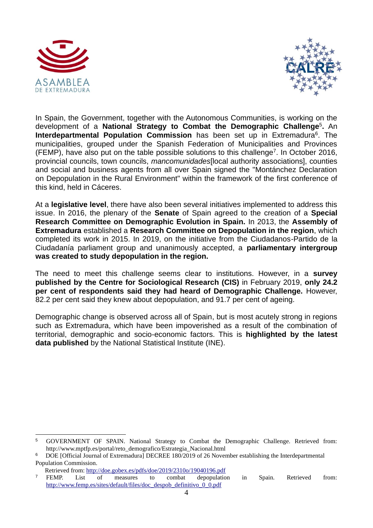



In Spain, the Government, together with the Autonomous Communities, is working on the development of a **National Strategy to Combat the Demographic Challenge**<sup>5</sup> **.** An **Interdepartmental Population Commission** has been set up in Extremadura<sup>6</sup>. The municipalities, grouped under the Spanish Federation of Municipalities and Provinces  $(FEMP)$ , have also put on the table possible solutions to this challenge<sup>7</sup>. In October 2016, provincial councils, town councils, *mancomunidades*[local authority associations], counties and social and business agents from all over Spain signed the "Montánchez Declaration on Depopulation in the Rural Environment" within the framework of the first conference of this kind, held in Cáceres.

At a **legislative level**, there have also been several initiatives implemented to address this issue. In 2016, the plenary of the **Senate** of Spain agreed to the creation of a **Special Research Committee on Demographic Evolution in Spain.** In 2013, the **Assembly of Extremadura** established a **Research Committee on Depopulation in the region**, which completed its work in 2015. In 2019, on the initiative from the Ciudadanos-Partido de la Ciudadanía parliament group and unanimously accepted, a **parliamentary intergroup was created to study depopulation in the region.**

The need to meet this challenge seems clear to institutions. However, in a **survey published by the Centre for Sociological Research (CIS)** in February 2019, **only 24.2 per cent of respondents said they had heard of Demographic Challenge.** However, 82.2 per cent said they knew about depopulation, and 91.7 per cent of ageing.

Demographic change is observed across all of Spain, but is most acutely strong in regions such as Extremadura, which have been impoverished as a result of the combination of territorial, demographic and socio-economic factors. This is **highlighted by the latest data published** by the National Statistical Institute (INE).

<sup>&</sup>lt;sup>5</sup> GOVERNMENT OF SPAIN. National Strategy to Combat the Demographic Challenge. Retrieved from: http://www.mptfp.es/portal/reto\_demografico/Estrategia\_Nacional.html

<sup>6</sup> DOE [Official Journal of Extremadura] DECREE 180/2019 of 26 November establishing the Interdepartmental Population Commission.

Retrieved from:<http://doe.gobex.es/pdfs/doe/2019/2310o/19040196.pdf><br>
<sup>7</sup> EEMP List of measures to combat dependence

<sup>7</sup> FEMP. List of measures to combat depopulation in Spain. Retrieved from: [http://www.femp.es/sites/default/files/doc\\_despob\\_definitivo\\_0\\_0.pdf](http://www.femp.es/sites/default/files/doc_despob_definitivo_0_0.pdf)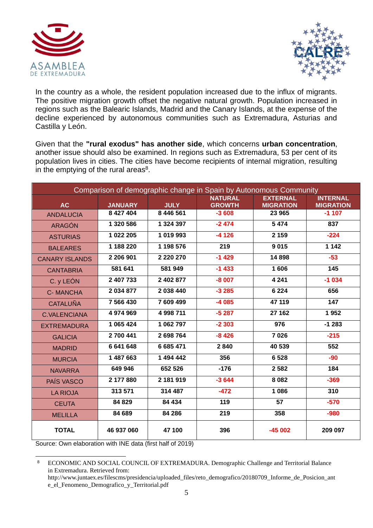



In the country as a whole, the resident population increased due to the influx of migrants. The positive migration growth offset the negative natural growth. Population increased in regions such as the Balearic Islands, Madrid and the Canary Islands, at the expense of the decline experienced by autonomous communities such as Extremadura, Asturias and Castilla y León.

Given that the **"rural exodus" has another side**, which concerns **urban concentration**, another issue should also be examined. In regions such as Extremadura, 53 per cent of its population lives in cities. The cities have become recipients of internal migration, resulting in the emptying of the rural areas $8$ .

| Comparison of demographic change in Spain by Autonomous Community |                             |                          |                          |                            |                             |  |
|-------------------------------------------------------------------|-----------------------------|--------------------------|--------------------------|----------------------------|-----------------------------|--|
|                                                                   |                             |                          | <b>NATURAL</b>           | <b>EXTERNAL</b>            | <b>INTERNAL</b>             |  |
| AC<br><b>ANDALUCIA</b>                                            | <b>JANUARY</b><br>8 427 404 | <b>JULY</b><br>8 446 561 | <b>GROWTH</b><br>$-3608$ | <b>MIGRATION</b><br>23 965 | <b>MIGRATION</b><br>$-1107$ |  |
|                                                                   | 1 320 586                   | 1 324 397                | $-2474$                  | 5 4 7 4                    | 837                         |  |
| <b>ARAGÓN</b>                                                     |                             |                          |                          |                            |                             |  |
| <b>ASTURIAS</b>                                                   | 1 022 205                   | 1 019 993                | $-4126$                  | 2 1 5 9                    | $-224$                      |  |
| <b>BALEARES</b>                                                   | 1 188 220                   | 1 198 576                | 219                      | 9015                       | 1142                        |  |
| <b>CANARY ISLANDS</b>                                             | 2 206 901                   | 2 2 2 0 2 7 0            | $-1429$                  | 14898                      | $-53$                       |  |
| <b>CANTABRIA</b>                                                  | 581 641                     | 581 949                  | $-1433$                  | 1606                       | 145                         |  |
| C. y LEÓN                                                         | 2 407 733                   | 2 402 877                | $-8007$                  | 4 2 4 1                    | $-1034$                     |  |
| <b>C-MANCHA</b>                                                   | 2 034 877                   | 2 038 440                | $-3285$                  | 6 2 2 4                    | 656                         |  |
| <b>CATALUÑA</b>                                                   | 7 566 430                   | 7 609 499                | $-4085$                  | 47 119                     | 147                         |  |
| <b>C.VALENCIANA</b>                                               | 4 974 969                   | 4 998 711                | $-5287$                  | 27 162                     | 1952                        |  |
| <b>EXTREMADURA</b>                                                | 1 065 424                   | 1 062 797                | $-2303$                  | 976                        | $-1283$                     |  |
| <b>GALICIA</b>                                                    | 2700441                     | 2698764                  | $-8426$                  | 7026                       | $-215$                      |  |
| <b>MADRID</b>                                                     | 6 641 648                   | 6 685 471                | 2840                     | 40 539                     | 552                         |  |
| <b>MURCIA</b>                                                     | 1 487 663                   | 1 494 442                | 356                      | 6 5 28                     | $-90$                       |  |
| <b>NAVARRA</b>                                                    | 649 946                     | 652 526                  | $-176$                   | 2 5 8 2                    | 184                         |  |
| PAÍS VASCO                                                        | 2 177 880                   | 2 181 919                | $-3644$                  | 8 0 8 2                    | $-369$                      |  |
| <b>LA RIOJA</b>                                                   | 313 571                     | 314 487                  | $-472$                   | 1 0 8 6                    | 310                         |  |
| <b>CEUTA</b>                                                      | 84 829                      | 84 434                   | 119                      | 57                         | $-570$                      |  |
| <b>MELILLA</b>                                                    | 84 689                      | 84 286                   | 219                      | 358                        | $-980$                      |  |
| <b>TOTAL</b>                                                      | 46 937 060                  | 47 100                   | 396                      | $-45002$                   | 209 097                     |  |

Source: Own elaboration with INE data (first half of 2019)

<sup>8</sup> ECONOMIC AND SOCIAL COUNCIL OF EXTREMADURA. Demographic Challenge and Territorial Balance in Extremadura. Retrieved from:

http://www.juntaex.es/filescms/presidencia/uploaded\_files/reto\_demografico/20180709\_Informe\_de\_Posicion\_ant e el Fenomeno Demografico y Territorial.pdf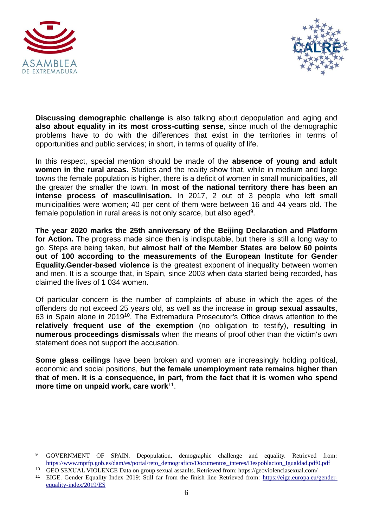



**Discussing demographic challenge** is also talking about depopulation and aging and **also about equality in its most cross-cutting sense**, since much of the demographic problems have to do with the differences that exist in the territories in terms of opportunities and public services; in short, in terms of quality of life.

In this respect, special mention should be made of the **absence of young and adult women in the rural areas.** Studies and the reality show that, while in medium and large towns the female population is higher, there is a deficit of women in small municipalities, all the greater the smaller the town. **In most of the national territory there has been an intense process of masculinisation.** In 2017, 2 out of 3 people who left small municipalities were women; 40 per cent of them were between 16 and 44 years old. The female population in rural areas is not only scarce, but also aged<sup>9</sup>.

**The year 2020 marks the 25th anniversary of the Beijing Declaration and Platform for Action.** The progress made since then is indisputable, but there is still a long way to go. Steps are being taken, but **almost half of the Member States are below 60 points out of 100 according to the measurements of the European Institute for Gender Equality.Gender-based violence** is the greatest exponent of inequality between women and men. It is a scourge that, in Spain, since 2003 when data started being recorded, has claimed the lives of 1 034 women.

Of particular concern is the number of complaints of abuse in which the ages of the offenders do not exceed 25 years old, as well as the increase in **group sexual assaults**, 63 in Spain alone in 2019<sup>10</sup>. The Extremadura Prosecutor's Office draws attention to the **relatively frequent use of the exemption** (no obligation to testify), **resulting in numerous proceedings dismissals** when the means of proof other than the victim's own statement does not support the accusation.

**Some glass ceilings** have been broken and women are increasingly holding political, economic and social positions, **but the female unemployment rate remains higher than that of men. It is a consequence, in part, from the fact that it is women who spend more time on unpaid work, care work**<sup>11</sup> .

<sup>9</sup> GOVERNMENT OF SPAIN. Depopulation, demographic challenge and equality. Retrieved from: [https://www.mptfp.gob.es/dam/es/portal/reto\\_demografico/Documentos\\_interes/Despoblacion\\_Igualdad.pdf0.pdf](https://www.mptfp.gob.es/dam/es/portal/reto_demografico/Documentos_interes/Despoblacion_Igualdad.pdf0.pdf)

<sup>10</sup> GEO SEXUAL VIOLENCE Data on group sexual assaults. Retrieved from: https://geoviolenciasexual.com/ <sup>11</sup> EIGE. Gender Equality Index 2019: Still far from the finish line Retrieved from: [https://eige.europa.eu/gender](https://eige.europa.eu/gender-equality-index/2019/ES)[equality-index/2019/ES](https://eige.europa.eu/gender-equality-index/2019/ES)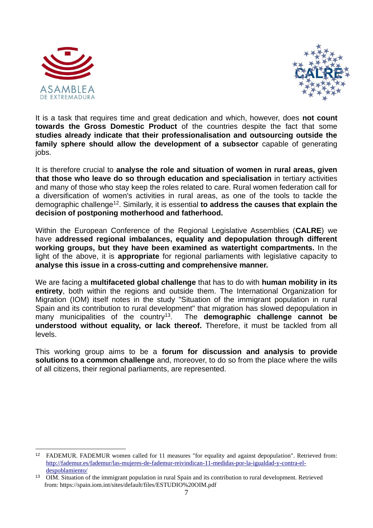



It is a task that requires time and great dedication and which, however, does **not count towards the Gross Domestic Product** of the countries despite the fact that some **studies already indicate that their professionalisation and outsourcing outside the family sphere should allow the development of a subsector** capable of generating jobs.

It is therefore crucial to **analyse the role and situation of women in rural areas, given that those who leave do so through education and specialisation** in tertiary activities and many of those who stay keep the roles related to care. Rural women federation call for a diversification of women's activities in rural areas, as one of the tools to tackle the demographic challenge<sup>12</sup>. Similarly, it is essential **to address the causes that explain the decision of postponing motherhood and fatherhood.** 

Within the European Conference of the Regional Legislative Assemblies (**CALRE**) we have **addressed regional imbalances, equality and depopulation through different working groups, but they have been examined as watertight compartments.** In the light of the above, it is **appropriate** for regional parliaments with legislative capacity to **analyse this issue in a cross-cutting and comprehensive manner.**

We are facing a **multifaceted global challenge** that has to do with **human mobility in its entirety**, both within the regions and outside them. The International Organization for Migration (IOM) itself notes in the study "Situation of the immigrant population in rural Spain and its contribution to rural development" that migration has slowed depopulation in many municipalities of the country<sup>13</sup>. The **demographic challenge cannot be understood without equality, or lack thereof.** Therefore, it must be tackled from all levels.

This working group aims to be a **forum for discussion and analysis to provide solutions to a common challenge** and, moreover, to do so from the place where the wills of all citizens, their regional parliaments, are represented.

<sup>12</sup> FADEMUR. FADEMUR women called for 11 measures "for equality and against depopulation". Retrieved from: [http://fademur.es/fademur/las-mujeres-de-fademur-reivindican-11-medidas-por-la-igualdad-y-contra-el](http://fademur.es/fademur/las-mujeres-de-fademur-reivindican-11-medidas-por-la-igualdad-y-contra-el-despoblamiento/)[despoblamiento/](http://fademur.es/fademur/las-mujeres-de-fademur-reivindican-11-medidas-por-la-igualdad-y-contra-el-despoblamiento/)

<sup>&</sup>lt;sup>13</sup> OIM. Situation of the immigrant population in rural Spain and its contribution to rural development. Retrieved from: https://spain.iom.int/sites/default/files/ESTUDIO%20OIM.pdf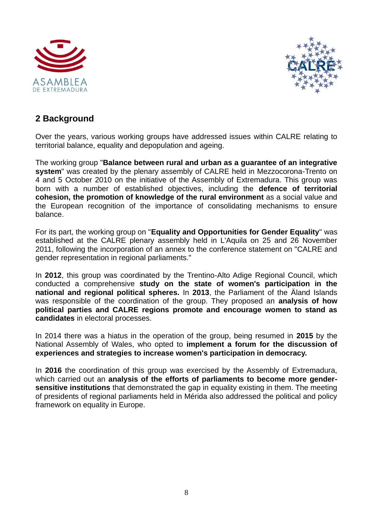



#### **2 Background**

Over the years, various working groups have addressed issues within CALRE relating to territorial balance, equality and depopulation and ageing.

The working group "**Balance between rural and urban as a guarantee of an integrative system**" was created by the plenary assembly of CALRE held in Mezzocorona-Trento on 4 and 5 October 2010 on the initiative of the Assembly of Extremadura. This group was born with a number of established objectives, including the **defence of territorial cohesion, the promotion of knowledge of the rural environment** as a social value and the European recognition of the importance of consolidating mechanisms to ensure balance.

For its part, the working group on "**Equality and Opportunities for Gender Equality**" was established at the CALRE plenary assembly held in L'Aquila on 25 and 26 November 2011, following the incorporation of an annex to the conference statement on "CALRE and gender representation in regional parliaments."

In **2012**, this group was coordinated by the Trentino-Alto Adige Regional Council, which conducted a comprehensive **study on the state of women's participation in the national and regional political spheres.** In **2013**, the Parliament of the Äland Islands was responsible of the coordination of the group. They proposed an **analysis of how political parties and CALRE regions promote and encourage women to stand as candidates** in electoral processes.

In 2014 there was a hiatus in the operation of the group, being resumed in **2015** by the National Assembly of Wales, who opted to **implement a forum for the discussion of experiences and strategies to increase women's participation in democracy.**

In **2016** the coordination of this group was exercised by the Assembly of Extremadura, which carried out an **analysis of the efforts of parliaments to become more gendersensitive institutions** that demonstrated the gap in equality existing in them. The meeting of presidents of regional parliaments held in Mérida also addressed the political and policy framework on equality in Europe.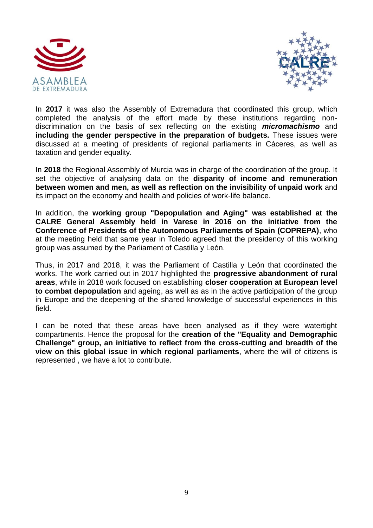



In **2017** it was also the Assembly of Extremadura that coordinated this group, which completed the analysis of the effort made by these institutions regarding nondiscrimination on the basis of sex reflecting on the existing *micromachismo* and **including the gender perspective in the preparation of budgets.** These issues were discussed at a meeting of presidents of regional parliaments in Cáceres, as well as taxation and gender equality.

In **2018** the Regional Assembly of Murcia was in charge of the coordination of the group. It set the objective of analysing data on the **disparity of income and remuneration between women and men, as well as reflection on the invisibility of unpaid work** and its impact on the economy and health and policies of work-life balance.

In addition, the **working group "Depopulation and Aging" was established at the CALRE General Assembly held in Varese in 2016 on the initiative from the Conference of Presidents of the Autonomous Parliaments of Spain (COPREPA)**, who at the meeting held that same year in Toledo agreed that the presidency of this working group was assumed by the Parliament of Castilla y León.

Thus, in 2017 and 2018, it was the Parliament of Castilla y León that coordinated the works. The work carried out in 2017 highlighted the **progressive abandonment of rural areas**, while in 2018 work focused on establishing **closer cooperation at European level to combat depopulation** and ageing, as well as as in the active participation of the group in Europe and the deepening of the shared knowledge of successful experiences in this field.

I can be noted that these areas have been analysed as if they were watertight compartments. Hence the proposal for the **creation of the "Equality and Demographic Challenge" group, an initiative to reflect from the cross-cutting and breadth of the view on this global issue in which regional parliaments**, where the will of citizens is represented , we have a lot to contribute.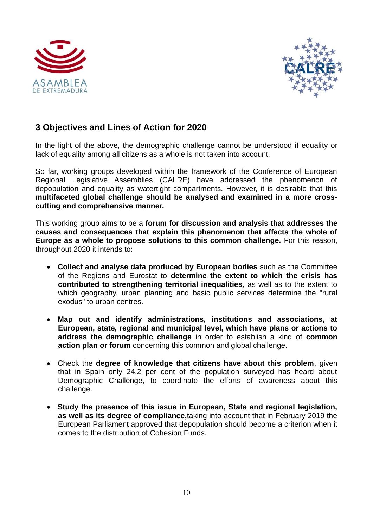



### **3 Objectives and Lines of Action for 2020**

In the light of the above, the demographic challenge cannot be understood if equality or lack of equality among all citizens as a whole is not taken into account.

So far, working groups developed within the framework of the Conference of European Regional Legislative Assemblies (CALRE) have addressed the phenomenon of depopulation and equality as watertight compartments. However, it is desirable that this **multifaceted global challenge should be analysed and examined in a more crosscutting and comprehensive manner.** 

This working group aims to be a **forum for discussion and analysis that addresses the causes and consequences that explain this phenomenon that affects the whole of Europe as a whole to propose solutions to this common challenge.** For this reason, throughout 2020 it intends to:

- **Collect and analyse data produced by European bodies** such as the Committee of the Regions and Eurostat to **determine the extent to which the crisis has contributed to strengthening territorial inequalities**, as well as to the extent to which geography, urban planning and basic public services determine the "rural exodus" to urban centres.
- **Map out and identify administrations, institutions and associations, at European, state, regional and municipal level, which have plans or actions to address the demographic challenge** in order to establish a kind of **common action plan or forum** concerning this common and global challenge.
- Check the **degree of knowledge that citizens have about this problem**, given that in Spain only 24.2 per cent of the population surveyed has heard about Demographic Challenge, to coordinate the efforts of awareness about this challenge.
- **Study the presence of this issue in European, State and regional legislation, as well as its degree of compliance,**taking into account that in February 2019 the European Parliament approved that depopulation should become a criterion when it comes to the distribution of Cohesion Funds.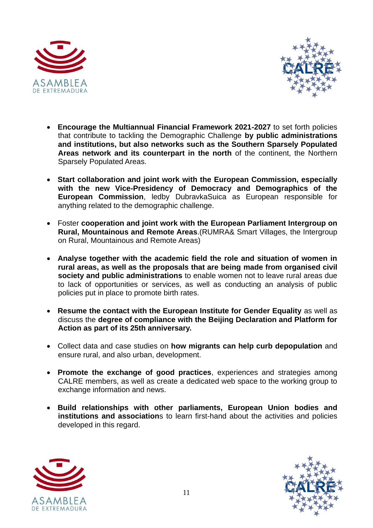



- **Encourage the Multiannual Financial Framework 2021-2027** to set forth policies that contribute to tackling the Demographic Challenge **by public administrations and institutions, but also networks such as the Southern Sparsely Populated Areas network and its counterpart in the north** of the continent, the Northern Sparsely Populated Areas.
- **Start collaboration and joint work with the European Commission, especially with the new Vice-Presidency of Democracy and Demographics of the European Commission**, ledby DubravkaSuica as European responsible for anything related to the demographic challenge.
- Foster **cooperation and joint work with the European Parliament Intergroup on Rural, Mountainous and Remote Areas**.(RUMRA& Smart Villages, the Intergroup on Rural, Mountainous and Remote Areas)
- **Analyse together with the academic field the role and situation of women in rural areas, as well as the proposals that are being made from organised civil society and public administrations** to enable women not to leave rural areas due to lack of opportunities or services, as well as conducting an analysis of public policies put in place to promote birth rates.
- **Resume the contact with the European Institute for Gender Equality** as well as discuss the **degree of compliance with the Beijing Declaration and Platform for Action as part of its 25th anniversary.**
- Collect data and case studies on **how migrants can help curb depopulation** and ensure rural, and also urban, development.
- **Promote the exchange of good practices**, experiences and strategies among CALRE members, as well as create a dedicated web space to the working group to exchange information and news.
- **Build relationships with other parliaments, European Union bodies and institutions and association**s to learn first-hand about the activities and policies developed in this regard.



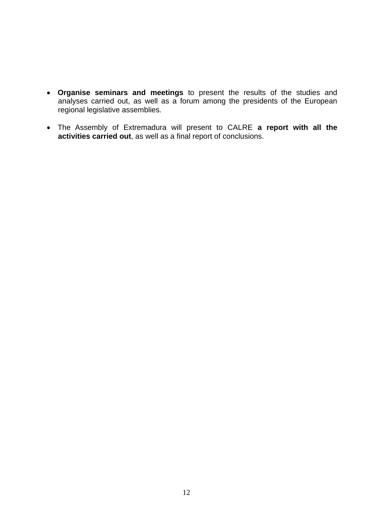- **Organise seminars and meetings** to present the results of the studies and analyses carried out, as well as a forum among the presidents of the European regional legislative assemblies.
- The Assembly of Extremadura will present to CALRE **a report with all the activities carried out**, as well as a final report of conclusions.